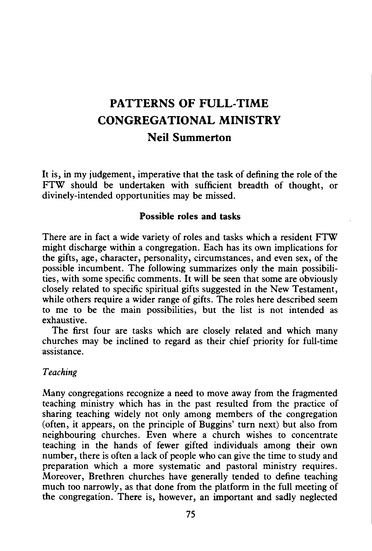# PATTERNS OF FULL-TIME CONGREGATIONAL MINISTRY Neil Summerton

It is, in my judgement, imperative that the task of defining the role of the FTW should be undertaken with sufficient breadth of thought, or divinely-intended opportunities may be missed.

#### Possible roles and tasks

There are in fact a wide variety of roles and tasks which a resident FTW might discharge within a congregation. Each has its own implications for the gifts, age, character, personality, circumstances, and even sex, of the possible incumbent. The following summarizes only the main possibilities, with some specific comments. It will be seen that some are obviously closely related to specific spiritual gifts suggested in the New Testament, while others require a wider range of gifts. The roles here described seem to me to be the main possibilities, but the list is not intended as exhaustive.

The first four are tasks which are closely related and which many churches may be inclined to regard as their chief priority for full-time assistance.

#### *Teaching*

Many congregations recognize a need to move away from the fragmented teaching ministry which has in the past resulted from the practice of sharing teaching widely not only among members of the congregation (often, it appears, on the principle of Buggins' turn next) but also from neighbouring churches. Even where a church wishes to concentrate teaching in the hands of fewer gifted individuals among their own number, there is often a lack of people who can give the time to study and preparation which a more systematic and pastoral ministry requires. Moreover, Brethren churches have generally tended to define teaching much too narrowly, as that done from the platform in the full meeting of the congregation. There is, however, an important and sadly neglected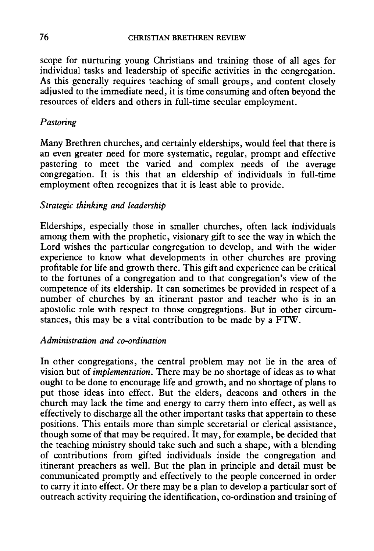scope for nurturing young Christians and training those of all ages for individual tasks and leadership of specific activities in the congregation. As this generally requires teaching of small groups, and content closely adjusted to the immediate need, it is time consuming and often beyond the resources of elders and others in full-time secular employment.

# *Pastoring*

Many Brethren churches, and certainly elderships, would feel that there is an even greater need for more systematic, regular, prompt and effective pastoring to meet the varied and complex needs of the average congregation. It is this that an eldership of individuals in full-time employment often recognizes that it is least able to provide.

# *Strategic thinking and leadership*

Elderships, especially those in smaller churches, often lack individuals among them with the prophetic, visionary gift to see the way in which the Lord wishes the particular congregation to develop, and with the wider experience to know what developments in other churches are proving profitable for life and growth there. This gift and experience can be critical to the fortunes of a congregation and to that congregation's view of the competence of its eldership. It can sometimes be provided in respect of a number of churches by an itinerant pastor and teacher who is in an apostolic role with respect to those congregations. But in other circumstances, this may be a vital contribution to be made by a FTW.

## *Administration and co-ordination*

In other congregations, the central problem may not lie in the area of vision but of *implementation.* There may be no shortage of ideas as to what ought to be done to encourage life and growth, and no shortage of plans to put those ideas into effect. But the elders, deacons and others in the church may lack the time and energy to carry them into effect, as well as effectively to discharge all the other important tasks that appertain to these positions. This entails more than simple secretarial or clerical assistance, though some of that may be required. It may, for example, be decided that the teaching ministry should take such and such a shape, with a blending of contributions from gifted individuals inside the congregation and itinerant preachers as well. But the plan in principle and detail must be communicated promptly and effectively to the people concerned in order to carry it into effect. Or there may be a plan to develop a particular sort of outreach activity requiring the identification, co-ordination and training of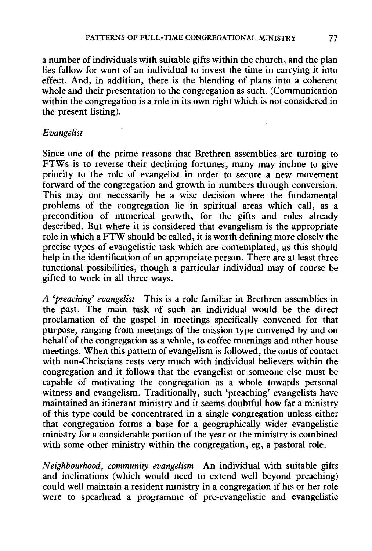a number of individuals with suitable gifts within the church, and the plan lies fallow for want of an individual to invest the time in carrying it into effect. And, in addition, there is the blending of plans into a coherent whole and their presentation to the congregation as such. (Communication within the congregation is a role in its own right which is not considered in the present listing).

## *Evangelist*

Since one of the prime reasons that Brethren assemblies are turning to FTWs is to reverse their declining fortunes, many may incline to give priority to the role of evangelist in order to secure a new movement forward of the congregation and growth in numbers through conversion. This may not necessarily be a wise decision where the fundamental problems of the congregation lie in spiritual areas which call, as a precondition of numerical growth, for the gifts and roles already described. But where it is considered that evangelism is the appropriate role in which a FTW should be called, it is worth defining more closely the precise types of evangelistic task which are contemplated, as this should help in the identification of an appropriate person. There are at least three functional possibilities, though a particular individual may of course be gifted to work in all three ways.

*A 'preaching' evangelist* This is a role familiar in Brethren assemblies in the past. The main task of such an individual would be the direct proclamation of the gospel in meetings specifically convened for that purpose, ranging from meetings of the mission type convened by and on behalf of the congregation as a whole, to coffee mornings and other house meetings. When this pattern of evangelism is followed, the onus of contact with non-Christians rests very much with individual believers within the congregation and it follows that the evangelist or someone else must be capable of motivating the congregation as a whole towards personal witness and evangelism. Traditionally, such 'preaching' evangelists have maintained an itinerant ministry and it seems doubtful how far a ministry of this type could be concentrated in a single congregation unless either that congregation forms a base for a geographically wider evangelistic ministry for a considerable portion of the year or the ministry is combined with some other ministry within the congregation, eg, a pastoral role.

*Neighbourhood, community evangelism* An individual with suitable gifts and inclinations (which would need to extend well beyond preaching) could well maintain a resident ministry in a congregation if his or her role were to spearhead a programme of pre-evangelistic and evangelistic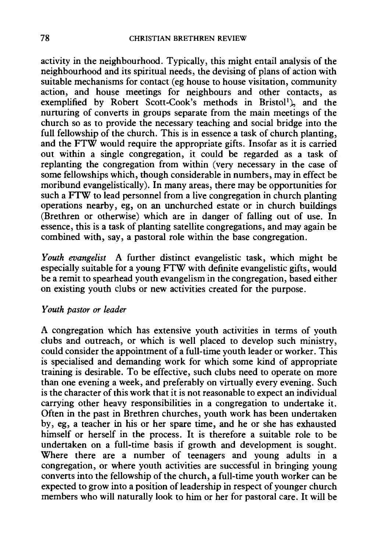activity in the neighbourhood. Typically, this might entail analysis of the neighbourhood and its spiritual needs, the devising of plans of action with suitable mechanisms for contact (eg house to house visitation, community action, and house meetings for neighbours and other contacts, as exemplified by Robert Scott-Cook's methods in Bristol<sup>1</sup>), and the nurturing of converts in groups separate from the main meetings of the church so as to provide the necessary teaching and social bridge into the full fellowship of the church. This is in essence a task of church planting, and the FTW would require the appropriate gifts. Insofar as it is carried out within a single congregation, it could be regarded as a task of replanting the congregation from within (very necessary in the case of some fellowships which, though considerable in numbers, may in effect be moribund evangelistically). In many areas, there may be opportunities for such a FTW to lead personnel from a live congregation in church planting operations nearby, eg, on an unchurched estate or in church buildings (Brethren or otherwise) which are in danger of falling out of use. In essence, this is a task of planting satellite congregations, and may again be combined with, say, a pastoral role within the base congregation.

*Youth evangelist* A further distinct evangelistic task, which might be especially suitable for a young FTW with definite evangelistic gifts, would be a remit to spearhead youth evangelism in the congregation, based either on existing youth clubs or new activities created for the purpose.

#### *Youth pastor or leader*

A congregation which has extensive youth activities in terms of youth clubs and outreach, or which is well placed to develop such ministry, could consider the appointment of a full-time youth leader or worker. This is specialised and demanding work for which some kind of appropriate training is desirable. To be effective, such clubs need to operate on more than one evening a week, and preferably on virtually every evening. Such is the character of this work that it is not reasonable to expect an individual carrying other heavy responsibilities in a congregation to undertake it. Often in the past in Brethren churches, youth work has been undertaken by, eg, a teacher in his or her spare time, and he or she has exhausted himself or herself in the process. It is therefore a suitable role to be undertaken on a full-time basis if growth and development is sought. Where there are a number of teenagers and young adults in a congregation, or where youth activities are successful in bringing young converts into the fellowship of the church, a full-time youth worker can be expected to grow into a position of leadership in respect of younger church members who will naturally look to him or her for pastoral care. It will be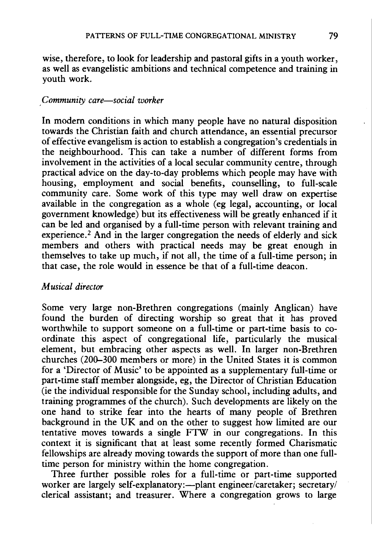wise, therefore, to look for leadership and pastoral gifts in a youth worker, as well as evangelistic ambitions and technical competence and training in youth work.

#### *,Community care-social worker*

In modern conditions in which many people have no natural disposition towards the Christian faith and church attendance, an essential precursor of effective evangelism is action to establish a congregation's credentials in the neighbourhood. This can take a number of different forms from involvement in the activities of a local secular community centre, through practical advice on the day-to-day problems which people may have with housing, employment and social benefits, counselling, to full-scale community care. Some work of this type may well draw on expertise available in the congregation as a whole (eg legal, accounting, or local government knowledge) but its effectiveness will be greatly enhanced if it can be led and organised by a full-time person with relevant training and experience.<sup>2</sup> And in the larger congregation the needs of elderly and sick members and others with practical needs may be great enough in themselves to take up much, if not all, the time of a full-time person; in that case, the role would in essence be that of a full-time deacon.

## *Musical director*

Some very large non-Brethren congregations (mainly Anglican) have found the burden of directing worship so great that it has proved worthwhile to support someone on a full-time or part-time basis to coordinate this aspect of congregational life, particularly the musical· element, but embracing other aspects as well. In larger non-Brethren churches (200-300 members or more) in the United States it is common for a 'Director of Music' to be appointed as a supplementary full-time or part-time staff member alongside, eg, the Director of Christian Education (ie the individual responsible for the Sunday school, including adults, and training programmes of the church). Such developments are likely on the one hand to strike fear into the hearts of many people of Brethren background in the UK and on the other to suggest how limited are our tentative moves towards a single FTW in our congregations. In this context it is significant that at least some recently formed Charismatic fellowships are already moving towards the support of more than one fulltime person for ministry within the home congregation.

Three further possible roles for a full-time or part-time supported worker are largely self-explanatory:—plant engineer/caretaker; secretary/ clerical assistant; and treasurer. Where a congregation grows to large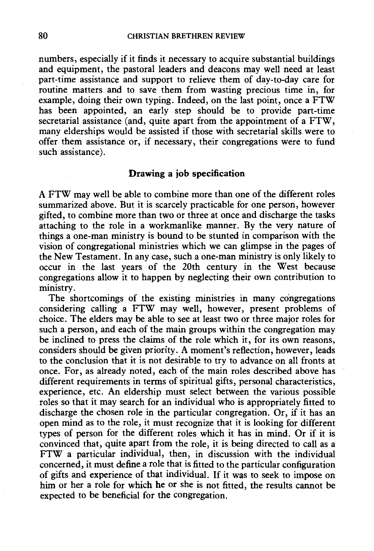numbers, especially if it finds it necessary to acquire substantial buildings and equipment, the pastoral leaders and deacons may well need at least part-time assistance and support to relieve them of day-to-day care for routine matters and to save them from wasting precious time in, for example, doing their own typing. Indeed, on the last point, once a FTW has been appointed, an early step should be to provide part-time secretarial assistance (and, quite apart from the appointment of a FTW, many elderships would be assisted if those with secretarial skills were to offer them assistance or, if necessary, their congregations were to fund such assistance).

#### Drawing a job specification

A FTW may well be able to combine more than one of the different roles summarized above. But it is scarcely practicable for one person, however gifted, to combine more than two or three at once and discharge the tasks attaching to the role in a workmanlike manner. By the very nature of things a one-man ministry is bound to be stunted in comparison with the vision of congregational ministries which we can glimpse in the pages of the New Testament. In any case, such a one-man ministry is only likely to occur in the last years of the 20th century in the West because congregations allow it to happen by neglecting their own contribution to ministry.

The shortcomings of the existing ministries in many congregations considering calling a FTW may well, however, present problems of choice. The elders may be able to see at least two or three major roles for such a person, and each of the main groups within the congregation may be inclined to press the claims of the role which it, for its own reasons, considers should be given priority. A moment's reflection, however, leads to the conclusion that it is not desirable to try to advance on all fronts at once. For, as already noted, each of the main roles described above has different requirements in terms of spiritual gifts, personal characteristics, experience, etc. An eldership must select between the various possible roles so that it may search for an individual who is appropriately fitted to discharge the chosen role in the particular congregation. Or, if it has an open mind as to the role, it must recognize that it is looking for different types of person for the different roles which it has in mind. Or if it is convinced that, quite apart from the role, it is being directed to call as a FTW a particular individual, then, in discussion with the individual concerned, it must define a role that is fitted to the particular configuration of gifts and experience of that individual. If it was to seek to impose on him or her a role for which he or she is not fitted, the results cannot be expected to be beneficial for the congregation.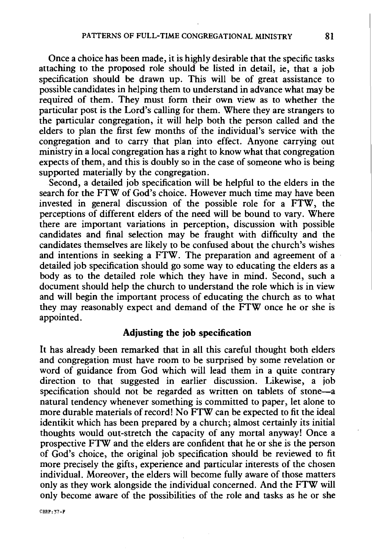Once a choice has been made, it is highly desirable that the specific tasks attaching to the proposed role should be listed in detail, ie, that a job specification should be drawn up. This will be of great assistance to possible candidates in helping them to understand in advance what may be required of them. They must form their own view as to whether the particular post is the Lord's calling for them. Where they are strangers to the particular congregation, it will help both the person called and the elders to plan the first few months of the individual's service with the congregation and to carry that plan into effect. Anyone carrying out ministry in a local congregation has a right to know what that congregation expects of them, and this is doubly so in the case of someone who is being supported materially by the congregation.

Second, a detailed job specification will be helpful to the elders in the search for the FTW of God's choice. However much time may have been invested in general discussion of the possible role for a FTW, the perceptions of different elders of the need will be bound to vary. Where there are important variations in perception, discussion with possible candidates and final selection may be fraught with difficulty and the candidates themselves are likely to be confused about the church's wishes and intentions in seeking a  $\angle$ FTW. The preparation and agreement of a detailed job specification should go some way to educating the elders as a body as to the detailed role which they have in mind. Second, such a document should help the church to understand the role which is in view and will begin the important process of educating the church as to what they may reasonably expect and demand of the FTW once he or she is appointed.

#### **Adjusting the job .specification**

It has already been remarked that in all this careful thought both elders and congregation must have room to be surprised by some revelation or word of guidance from God which will lead them in a quite contrary direction to that suggested in earlier discussion. Likewise, a job specification should not be regarded as written on tablets of stone-a natural tendency whenever something is committed to paper, let alone to more durable materials of record! No FTW can be expected to fit the ideal identikit which has been prepared by a church; almost certainly its initial thoughts would out-stretch the capacity of any mortal anyway! Once a prospective FTW and the elders are confident that he or she is the person of God's choice, the original job specification should be reviewed to fit more precisely the gifts, experience and particular interests of the chosen individual. Moreover, the elders will become fully aware of those matters only as they work alongside the individual concerned. And the FTW will only become aware of the possibilities of the role and tasks as he or she

CBRF:37-F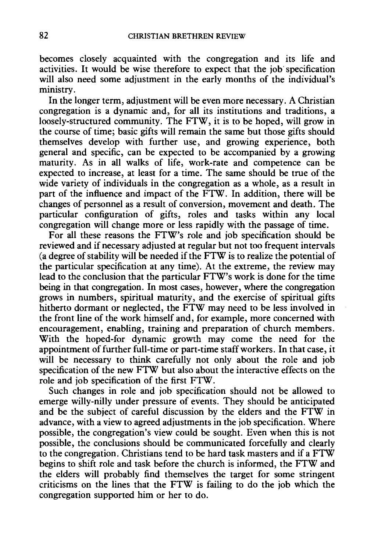becomes closely acquainted with the congregation and its life and activities. It would be wise therefore to expect that the job· specification will also need some adjustment in the early months of the individual's ministry.

In the longer term, adjustment will be even more necessary. A Christian congregation is a dynamic and, for all its institutions and traditions, a loosely-structured community. The FTW, it is to be hoped, will grow in the course of time; basic gifts will remain the same but those gifts should themselves develop with further use, and growing experience, both general and specific, can be expected to be accompanied by a growing maturity. As in all walks of life, work-rate and competence can be expected to increase, at least for a time. The same should be true of the wide variety of individuals in the congregation as a whole, as a result in part of the influence and impact of the FTW. In addition, there will be changes of personnel as a result of conversion, movement and death. The particular configuration of gifts, roles and tasks within any local congregation will change more or less rapidly with the passage of time.

For all these reasons the FTW's role and job specification should be reviewed and if necessary adjusted at regular but not too frequent intervals (a degree of stability will be needed if the FTW is to realize the potential of the particular specification at any time). At the extreme, the review may lead to the conclusion that the particular FTW's work is done for the time being in that congregation. In most cases, however, where the congregation grows in numbers, spiritual maturity, and the exercise of spiritual gifts hitherto dormant or neglected, the FTW may need to be less involved in the front line of the work himself and, for example, more concerned with encouragement, enabling, training and preparation of church members. With the hoped-for dynamic growth may come the need for the appointment of further full-time or part-time staff workers. In that case, it will be necessary to think carefully not only about the role and job specification of the new FTW but also about the interactive effects on the role and job specification of the first FTW.

Such changes in role and job specification should not be allowed to emerge willy-nilly under pressure of events. They should be anticipated and be the subject of careful discussion by the elders and the FTW in advance, with a view to agreed adjustments in the job specification. Where possible, the congregation's view could be sought. Even when this is not possible, the conclusions should be communicated forcefully and clearly to the congregation. Christians tend to be hard task masters and if a FTW begins to shift role and task before the church is informed, the FTW and the elders will probably find themselves the target for some stringent criticisms on the lines that the FTW is failing to do the job which the congregation supported him or her to do.